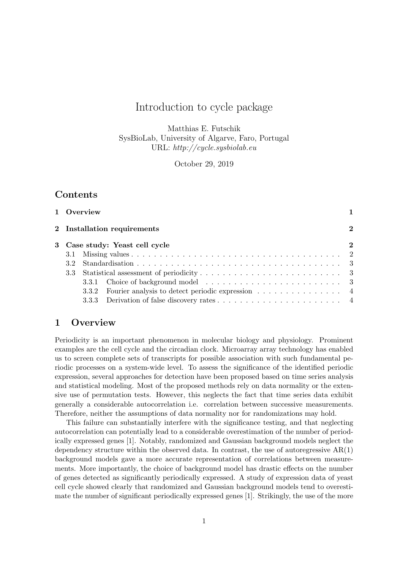# Introduction to cycle package

Matthias E. Futschik SysBioLab, University of Algarve, Faro, Portugal URL: http://cycle.sysbiolab.eu

October 29, 2019

## Contents

|  | 1 Overview                                             |          |
|--|--------------------------------------------------------|----------|
|  | 2 Installation requirements                            | $\bf{2}$ |
|  | 3 Case study: Yeast cell cycle                         | $\bf{2}$ |
|  |                                                        |          |
|  |                                                        |          |
|  |                                                        |          |
|  |                                                        |          |
|  | 3.3.2 Fourier analysis to detect periodic expression 4 |          |
|  |                                                        |          |

## 1 Overview

Periodicity is an important phenomenon in molecular biology and physiology. Prominent examples are the cell cycle and the circadian clock. Microarray array technology has enabled us to screen complete sets of transcripts for possible association with such fundamental periodic processes on a system-wide level. To assess the significance of the identified periodic expression, several approaches for detection have been proposed based on time series analysis and statistical modeling. Most of the proposed methods rely on data normality or the extensive use of permutation tests. However, this neglects the fact that time series data exhibit generally a considerable autocorrelation i.e. correlation between successive measurements. Therefore, neither the assumptions of data normality nor for randomizations may hold.

This failure can substantially interfere with the significance testing, and that neglecting autocorrelation can potentially lead to a considerable overestimation of the number of periodically expressed genes [1]. Notably, randomized and Gaussian background models neglect the dependency structure within the observed data. In contrast, the use of autoregressive  $AR(1)$ background models gave a more accurate representation of correlations between measurements. More importantly, the choice of background model has drastic effects on the number of genes detected as significantly periodically expressed. A study of expression data of yeast cell cycle showed clearly that randomized and Gaussian background models tend to overestimate the number of significant periodically expressed genes [1]. Strikingly, the use of the more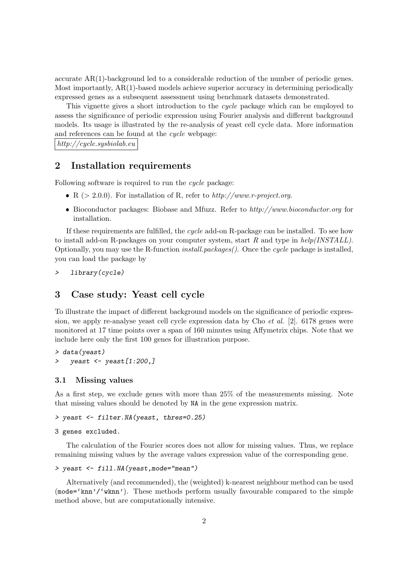accurate AR(1)-background led to a considerable reduction of the number of periodic genes. Most importantly, AR(1)-based models achieve superior accuracy in determining periodically expressed genes as a subsequent assessment using benchmark datasets demonstrated.

This vignette gives a short introduction to the cycle package which can be employed to assess the significance of periodic expression using Fourier analysis and different background models. Its usage is illustrated by the re-analysis of yeast cell cycle data. More information and references can be found at the cycle webpage:

http://cycle.sysbiolab.eu

### 2 Installation requirements

Following software is required to run the *cycle* package:

- R ( $> 2.0.0$ ). For installation of R, refer to  $http://www.r-project.org$ .
- Bioconductor packages: Biobase and Mfuzz. Refer to http://www.bioconductor.org for installation.

If these requirements are fulfilled, the cycle add-on R-package can be installed. To see how to install add-on R-packages on your computer system, start R and type in  $help/INSTLL)$ . Optionally, you may use the R-function *install.packages()*. Once the *cycle* package is installed, you can load the package by

> library(cycle)

## 3 Case study: Yeast cell cycle

To illustrate the impact of different background models on the significance of periodic expression, we apply re-analyse yeast cell cycle expression data by Cho *et al.* [2]. 6178 genes were monitored at 17 time points over a span of 160 minutes using Affymetrix chips. Note that we include here only the first 100 genes for illustration purpose.

> data(yeast) > yeast  $\leq$  yeast  $[1:200,$ ]

#### 3.1 Missing values

As a first step, we exclude genes with more than 25% of the measurements missing. Note that missing values should be denoted by NA in the gene expression matrix.

```
> yeast <- filter.NA(yeast, thres=0.25)
```

```
3 genes excluded.
```
The calculation of the Fourier scores does not allow for missing values. Thus, we replace remaining missing values by the average values expression value of the corresponding gene.

```
> yeast <- fill.NA(yeast,mode="mean")
```
Alternatively (and recommended), the (weighted) k-nearest neighbour method can be used (mode='knn'/'wknn'). These methods perform usually favourable compared to the simple method above, but are computationally intensive.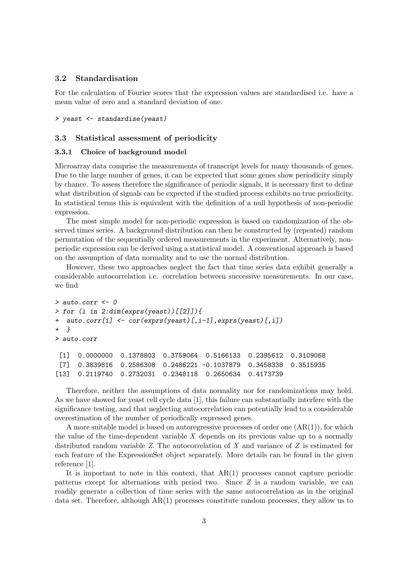#### 3.2 Standardisation

For the calculation of Fourier scores that the expression values are standardised i.e. have a mean value of zero and a standard deviation of one.

#### > yeast <- standardise(yeast)

#### 3.3 Statistical assessment of periodicity

#### 3.3.1 Choice of background model

Microarray data comprise the measurements of transcript levels for many thousands of genes. Due to the large number of genes, it can be expected that some genes show periodicity simply by chance. To assess therefore the significance of periodic signals, it is necessary first to define what distribution of signals can be expected if the studied process exhibits no true periodicity. In statistical terms this is equivalent with the definition of a null hypothesis of non-periodic expression.

The most simple model for non-periodic expression is based on randomization of the observed times series. A background distribution can then be constructed by (repeated) random permutation of the sequentially ordered measurements in the experiment. Alternatively, nonperiodic expression can be derived using a statistical model. A conventional approach is based on the assumption of data normality and to use the normal distribution.

However, these two approaches neglect the fact that time series data exhibit generally a considerable autocorrelation i.e. correlation between successive measurements. In our case, we find

```
> auto.corr <-0> for (i in 2:dim(exprs(yeast))[[2]]){
+ auto.corr[i] <- cor(exprs(yeast)[,i-1],exprs(yeast)[,i])
+ }
> auto.corr
 [1] 0.0000000 0.1378803 0.3759064 0.5166133 0.2395612 0.3109068
 [7] 0.3839816 0.2586308 0.2486221 -0.1037879 0.3458338 0.3515935
[13] 0.2119740 0.2732031 0.2348118 0.2650634 0.4173739
```
Therefore, neither the assumptions of data normality nor for randomizations may hold. As we have showed for yeast cell cycle data [1], this failure can substantially interfere with the significance testing, and that neglecting autocorrelation can potentially lead to a considerable overestimation of the number of periodically expressed genes.

A more suitable model is based on autoregressive processes of order one  $(AR(1))$ , for which the value of the time-dependent variable  $X$  depends on its previous value up to a normally distributed random variable  $Z$ . The autocorrelation of  $X$  and variance of  $Z$  is estimated for each feature of the ExpressionSet object separately. More details can be found in the given reference [1].

It is important to note in this context, that  $AR(1)$  processes cannot capture periodic patterns except for alternations with period two. Since Z is a random variable, we can readily generate a collection of time series with the same autocorrelation as in the original data set. Therefore, although  $AR(1)$  processes constitute random processes, they allow us to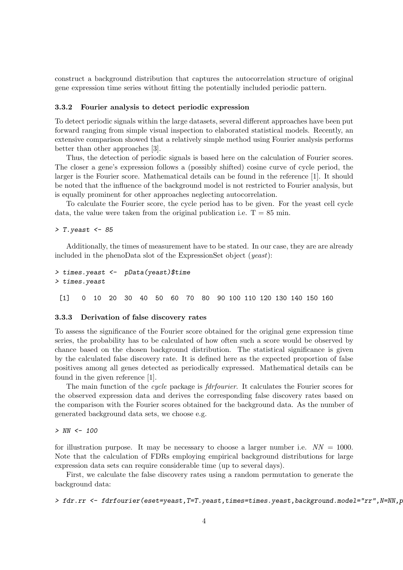construct a background distribution that captures the autocorrelation structure of original gene expression time series without fitting the potentially included periodic pattern.

#### 3.3.2 Fourier analysis to detect periodic expression

To detect periodic signals within the large datasets, several different approaches have been put forward ranging from simple visual inspection to elaborated statistical models. Recently, an extensive comparison showed that a relatively simple method using Fourier analysis performs better than other approaches [3].

Thus, the detection of periodic signals is based here on the calculation of Fourier scores. The closer a gene's expression follows a (possibly shifted) cosine curve of cycle period, the larger is the Fourier score. Mathematical details can be found in the reference [1]. It should be noted that the influence of the background model is not restricted to Fourier analysis, but is equally prominent for other approaches neglecting autocorrelation.

To calculate the Fourier score, the cycle period has to be given. For the yeast cell cycle data, the value were taken from the original publication i.e.  $T = 85$  min.

 $>$  T. yeast  $<-$  85

Additionally, the times of measurement have to be stated. In our case, they are are already included in the phenoData slot of the ExpressionSet object (yeast):

```
> times.yeast <- pData(yeast)$time
> times.yeast
```
[1] 0 10 20 30 40 50 60 70 80 90 100 110 120 130 140 150 160

#### 3.3.3 Derivation of false discovery rates

To assess the significance of the Fourier score obtained for the original gene expression time series, the probability has to be calculated of how often such a score would be observed by chance based on the chosen background distribution. The statistical significance is given by the calculated false discovery rate. It is defined here as the expected proportion of false positives among all genes detected as periodically expressed. Mathematical details can be found in the given reference [1].

The main function of the cycle package is fdrfourier. It calculates the Fourier scores for the observed expression data and derives the corresponding false discovery rates based on the comparison with the Fourier scores obtained for the background data. As the number of generated background data sets, we choose e.g.

 $> NN < - 100$ 

for illustration purpose. It may be necessary to choose a larger number i.e.  $NN = 1000$ . Note that the calculation of FDRs employing empirical background distributions for large expression data sets can require considerable time (up to several days).

First, we calculate the false discovery rates using a random permutation to generate the background data:

```
> fdr.rr <- fdrfourier(eset=yeast,T=T.yeast,times=times.yeast,background.model="rr",N=NN,p
```